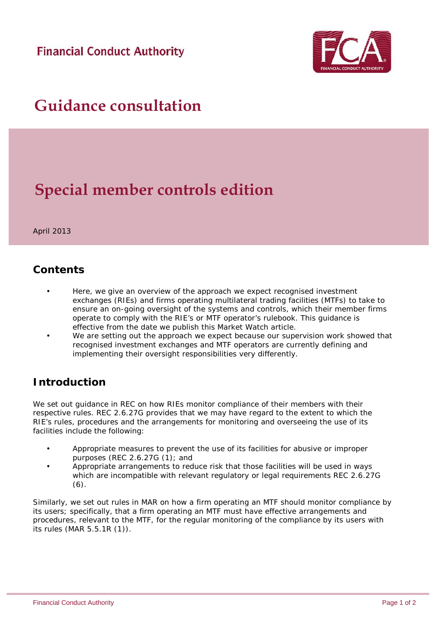**Financial Conduct Authority** 



# **Guidance consultation**

# **Special member controls edition**

April 2013

### *Contents*

- Here, we give an overview of the approach we expect recognised investment exchanges (RIEs) and firms operating multilateral trading facilities (MTFs) to take to ensure an on-going oversight of the systems and controls, which their member firms operate to comply with the RIE's or MTF operator's rulebook. This guidance is effective from the date we publish this Market Watch article.
- We are setting out the approach we expect because our supervision work showed that recognised investment exchanges and MTF operators are currently defining and implementing their oversight responsibilities very differently.

## *Introduction*

We set out guidance in REC on how RIEs monitor compliance of their members with their respective rules. REC 2.6.27G provides that we may have regard to the extent to which the RIE's rules, procedures and the arrangements for monitoring and overseeing the use of its facilities include the following:

- Appropriate measures to prevent the use of its facilities for abusive or improper purposes (REC 2.6.27G (1); and
- Appropriate arrangements to reduce risk that those facilities will be used in ways which are incompatible with relevant regulatory or legal requirements REC 2.6.27G  $(6).$

Similarly, we set out rules in MAR on how a firm operating an MTF should monitor compliance by its users; specifically, that a firm operating an MTF must have effective arrangements and procedures, relevant to the MTF, for the regular monitoring of the compliance by its users with its rules (MAR 5.5.1R (1)).